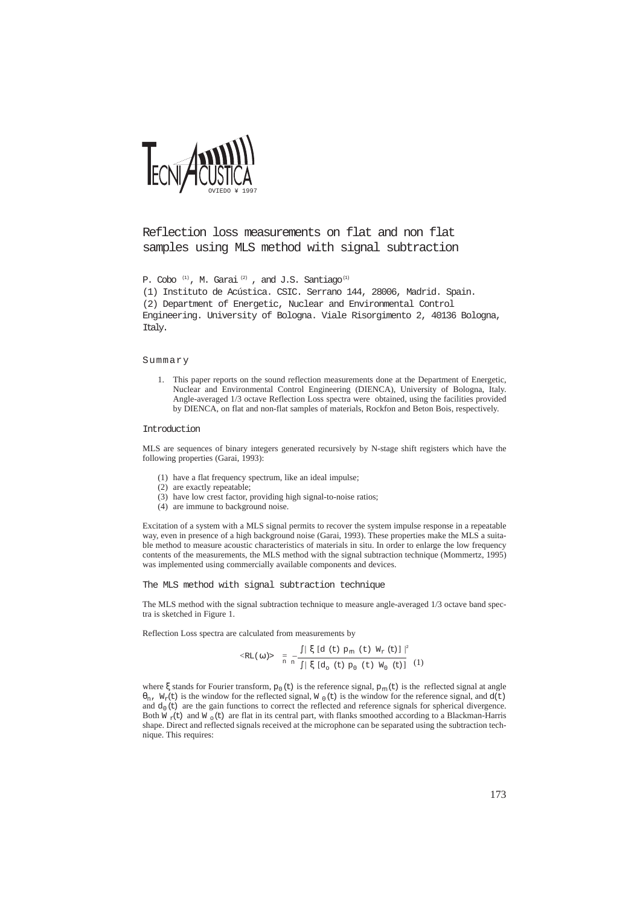

# Reflection loss measurements on flat and non flat samples using MLS method with signal subtraction

P. Cobo<sup>(1)</sup>, M. Garai<sup>(2)</sup>, and J.S. Santiago<sup>(1)</sup>

(1) Instituto de Acústica. CSIC. Serrano 144, 28006, Madrid. Spain. (2) Department of Energetic, Nuclear and Environmental Control Engineering. University of Bologna. Viale Risorgimento 2, 40136 Bologna, Italy.

# Summary

1. This paper reports on the sound reflection measurements done at the Department of Energetic, Nuclear and Environmental Control Engineering (DIENCA), University of Bologna, Italy. Angle-averaged 1/3 octave Reflection Loss spectra were obtained, using the facilities provided by DIENCA, on flat and non-flat samples of materials, Rockfon and Beton Bois, respectively.

#### Introduction

MLS are sequences of binary integers generated recursively by N-stage shift registers which have the following properties (Garai, 1993):

- (1) have a flat frequency spectrum, like an ideal impulse;
- (2) are exactly repeatable;
- (3) have low crest factor, providing high signal-to-noise ratios;
- (4) are immune to background noise.

Excitation of a system with a MLS signal permits to recover the system impulse response in a repeatable way, even in presence of a high background noise (Garai, 1993). These properties make the MLS a suitable method to measure acoustic characteristics of materials in situ. In order to enlarge the low frequency contents of the measurements, the MLS method with the signal subtraction technique (Mommertz, 1995) was implemented using commercially available components and devices.

The MLS method with signal subtraction technique

The MLS method with the signal subtraction technique to measure angle-averaged 1/3 octave band spectra is sketched in Figure 1.

Reflection Loss spectra are calculated from measurements by

$$
\langle \text{RL}(\omega) \rangle = \frac{1}{\pi} \frac{|\xi| d(t) p_m(t) W_r(t)|^2}{\int |\xi| d_0(t) p_0(t) W_0(t)|^2} \tag{1}
$$

where  $\xi$  stands for Fourier transform,  $p_0(t)$  is the reference signal,  $p_m(t)$  is the reflected signal at angle  $\theta_n$ , W<sub>r</sub>(t) is the window for the reflected signal, W<sub>0</sub>(t) is the window for the reference signal, and d(t) and  $d_0(t)$  are the gain functions to correct the reflected and reference signals for spherical divergence. Both  $\overline{W}_{\gamma}(t)$  and  $\overline{W}_{\alpha}(t)$  are flat in its central part, with flanks smoothed according to a Blackman-Harris shape. Direct and reflected signals received at the microphone can be separated using the subtraction technique. This requires: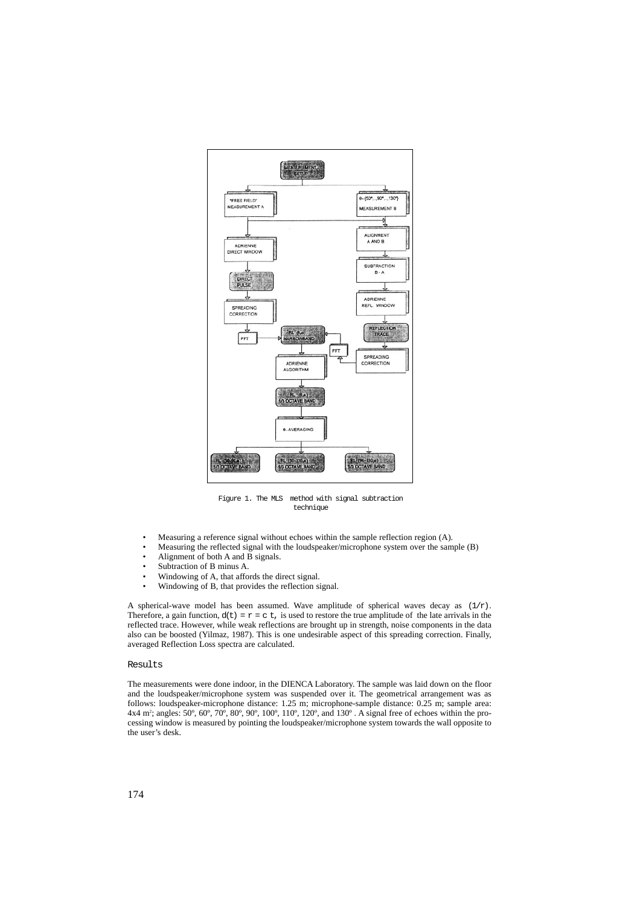

Figure 1. The MLS method with signal subtraction technique

- Measuring a reference signal without echoes within the sample reflection region (A).
- Measuring the reflected signal with the loudspeaker/microphone system over the sample (B)
- Alignment of both A and B signals.
- Subtraction of B minus A.<br>Windowing of A that afform
- Windowing of A, that affords the direct signal.<br>• Windowing of B, that provides the reflection si
- Windowing of B, that provides the reflection signal.

A spherical-wave model has been assumed. Wave amplitude of spherical waves decay as  $(1/r)$ . Therefore, a gain function,  $d(t) = r = c t$ , is used to restore the true amplitude of the late arrivals in the reflected trace. However, while weak reflections are brought up in strength, noise components in the data also can be boosted (Yilmaz, 1987). This is one undesirable aspect of this spreading correction. Finally, averaged Reflection Loss spectra are calculated.

## Results

The measurements were done indoor, in the DIENCA Laboratory. The sample was laid down on the floor and the loudspeaker/microphone system was suspended over it. The geometrical arrangement was as follows: loudspeaker-microphone distance: 1.25 m; microphone-sample distance: 0.25 m; sample area: 4x4 m2 ; angles: 50º, 60º, 70º, 80º, 90º, 100º, 110º, 120º, and 130º . A signal free of echoes within the processing window is measured by pointing the loudspeaker/microphone system towards the wall opposite to the user's desk.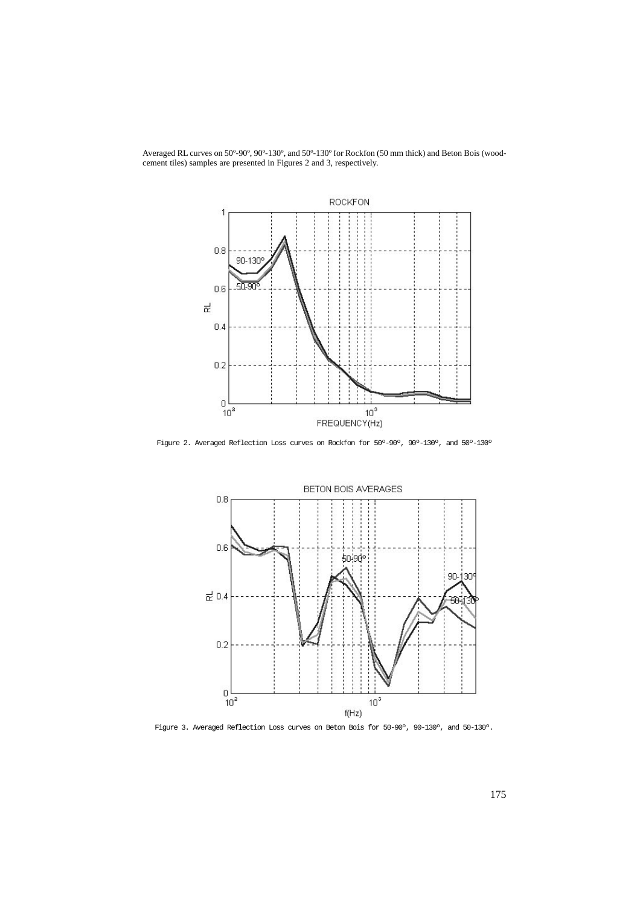



Figure 2. Averaged Reflection Loss curves on Rockfon for 50º-90º, 90º-130º, and 50º-130º



Figure 3. Averaged Reflection Loss curves on Beton Bois for 50-90º, 90-130º, and 50-130º.